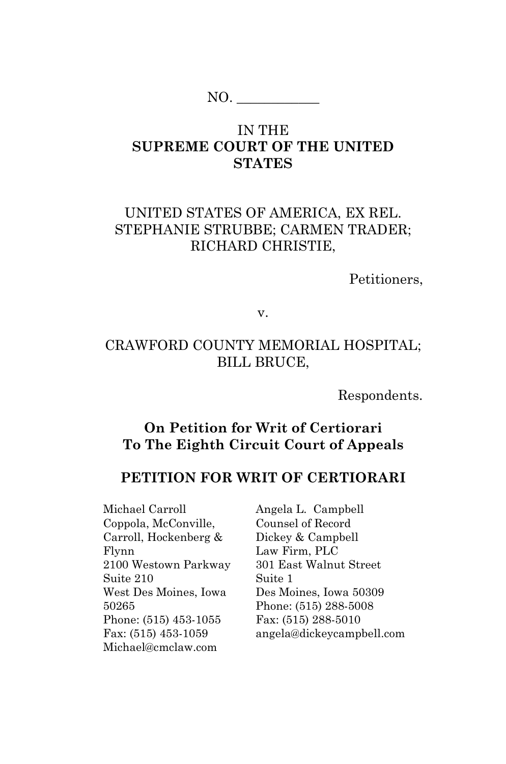$NO.$ 

### IN THE **SUPREME COURT OF THE UNITED STATES**

## UNITED STATES OF AMERICA, EX REL. STEPHANIE STRUBBE; CARMEN TRADER; RICHARD CHRISTIE,

Petitioners,

v.

## CRAWFORD COUNTY MEMORIAL HOSPITAL; BILL BRUCE,

Respondents.

### **On Petition for Writ of Certiorari To The Eighth Circuit Court of Appeals**

### **PETITION FOR WRIT OF CERTIORARI**

Michael Carroll Coppola, McConville, Carroll, Hockenberg & Flynn 2100 Westown Parkway Suite 210 West Des Moines, Iowa 50265 Phone: (515) 453-1055 Fax: (515) 453-1059 Michael@cmclaw.com

Angela L. Campbell Counsel of Record Dickey & Campbell Law Firm, PLC 301 East Walnut Street Suite 1 Des Moines, Iowa 50309 Phone: (515) 288-5008 Fax: (515) 288-5010 angela@dickeycampbell.com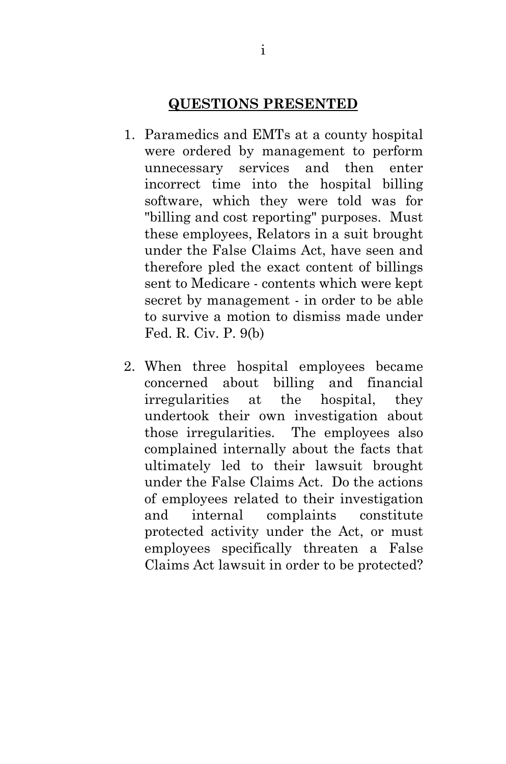### **QUESTIONS PRESENTED**

- <span id="page-1-0"></span>1. Paramedics and EMTs at a county hospital were ordered by management to perform unnecessary services and then enter incorrect time into the hospital billing software, which they were told was for "billing and cost reporting" purposes. Must these employees, Relators in a suit brought under the False Claims Act, have seen and therefore pled the exact content of billings sent to Medicare - contents which were kept secret by management - in order to be able to survive a motion to dismiss made under Fed. R. Civ. P. 9(b)
- 2. When three hospital employees became concerned about billing and financial irregularities at the hospital, they undertook their own investigation about those irregularities. The employees also complained internally about the facts that ultimately led to their lawsuit brought under the False Claims Act. Do the actions of employees related to their investigation and internal complaints constitute protected activity under the Act, or must employees specifically threaten a False Claims Act lawsuit in order to be protected?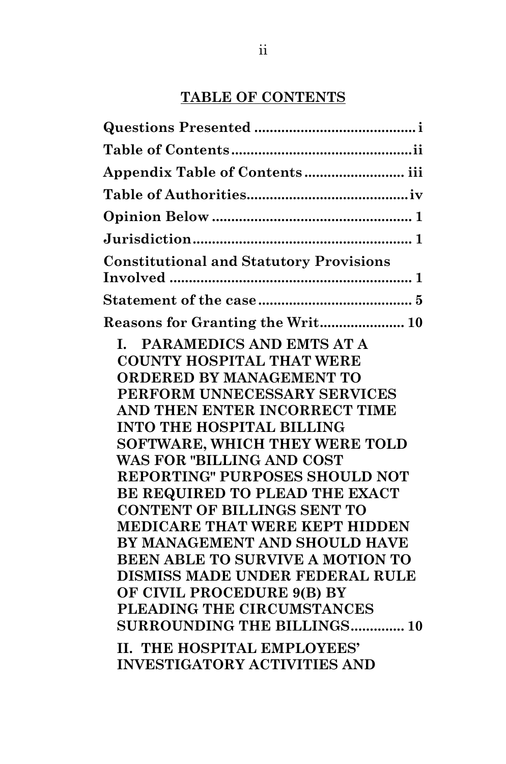## **TABLE OF CONTENTS**

<span id="page-2-0"></span>

| Appendix Table of Contents iii                                                                                                                                                                                                                                                                                                                                                                                                                                                                                                                                                                                                         |
|----------------------------------------------------------------------------------------------------------------------------------------------------------------------------------------------------------------------------------------------------------------------------------------------------------------------------------------------------------------------------------------------------------------------------------------------------------------------------------------------------------------------------------------------------------------------------------------------------------------------------------------|
|                                                                                                                                                                                                                                                                                                                                                                                                                                                                                                                                                                                                                                        |
|                                                                                                                                                                                                                                                                                                                                                                                                                                                                                                                                                                                                                                        |
|                                                                                                                                                                                                                                                                                                                                                                                                                                                                                                                                                                                                                                        |
| <b>Constitutional and Statutory Provisions</b>                                                                                                                                                                                                                                                                                                                                                                                                                                                                                                                                                                                         |
|                                                                                                                                                                                                                                                                                                                                                                                                                                                                                                                                                                                                                                        |
| Reasons for Granting the Writ 10                                                                                                                                                                                                                                                                                                                                                                                                                                                                                                                                                                                                       |
| PARAMEDICS AND EMTS AT A<br>L.<br><b>COUNTY HOSPITAL THAT WERE</b><br><b>ORDERED BY MANAGEMENT TO</b><br>PERFORM UNNECESSARY SERVICES<br>AND THEN ENTER INCORRECT TIME<br><b>INTO THE HOSPITAL BILLING</b><br>SOFTWARE, WHICH THEY WERE TOLD<br><b>WAS FOR "BILLING AND COST</b><br>REPORTING" PURPOSES SHOULD NOT<br>BE REQUIRED TO PLEAD THE EXACT<br><b>CONTENT OF BILLINGS SENT TO</b><br>MEDICARE THAT WERE KEPT HIDDEN<br>BY MANAGEMENT AND SHOULD HAVE<br>BEEN ABLE TO SURVIVE A MOTION TO<br>DISMISS MADE UNDER FEDERAL RULE<br>OF CIVIL PROCEDURE 9(B) BY<br>PLEADING THE CIRCUMSTANCES<br><b>SURROUNDING THE BILLINGS 10</b> |
| <b>II. THE HOSPITAL EMPLOYEES'</b><br><b>INVESTIGATORY ACTIVITIES AND</b>                                                                                                                                                                                                                                                                                                                                                                                                                                                                                                                                                              |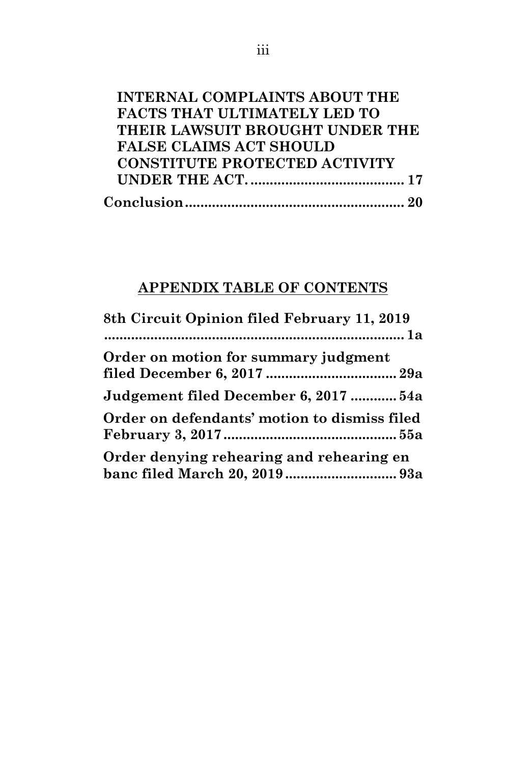| THEIR LAWSUIT BROUGHT UNDER THE |
|---------------------------------|
|                                 |
|                                 |
|                                 |
|                                 |
|                                 |

# <span id="page-3-0"></span>**APPENDIX TABLE OF CONTENTS**

| 8th Circuit Opinion filed February 11, 2019                                |
|----------------------------------------------------------------------------|
|                                                                            |
| Order on motion for summary judgment                                       |
|                                                                            |
| Judgement filed December 6, 2017  54a                                      |
| Order on defendants' motion to dismiss filed                               |
|                                                                            |
| Order denying rehearing and rehearing en<br>banc filed March 20, 2019  93a |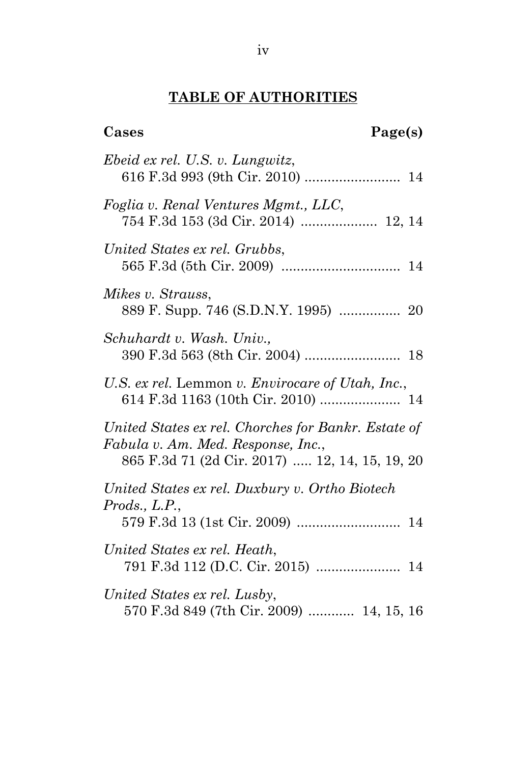## **TABLE OF AUTHORITIES**

<span id="page-4-0"></span>**Cases Page(s)**

| Ebeid ex rel. U.S. v. Lungwitz,                                                                                                             |  |
|---------------------------------------------------------------------------------------------------------------------------------------------|--|
| Foglia v. Renal Ventures Mgmt., LLC,                                                                                                        |  |
| United States ex rel. Grubbs,                                                                                                               |  |
| Mikes v. Strauss.<br>889 F. Supp. 746 (S.D.N.Y. 1995)  20                                                                                   |  |
| Schuhardt v. Wash. Univ.,                                                                                                                   |  |
| U.S. ex rel. Lemmon v. Envirocare of Utah, Inc.,                                                                                            |  |
| United States ex rel. Chorches for Bankr. Estate of<br>Fabula v. Am. Med. Response, Inc.,<br>865 F.3d 71 (2d Cir. 2017)  12, 14, 15, 19, 20 |  |
| United States ex rel. Duxbury v. Ortho Biotech<br>Prods., L.P.,                                                                             |  |
| United States ex rel. Heath,                                                                                                                |  |
|                                                                                                                                             |  |

*United States ex rel. Lusby*, 570 F.3d 849 (7th Cir. 2009) ............ 14, 15, 16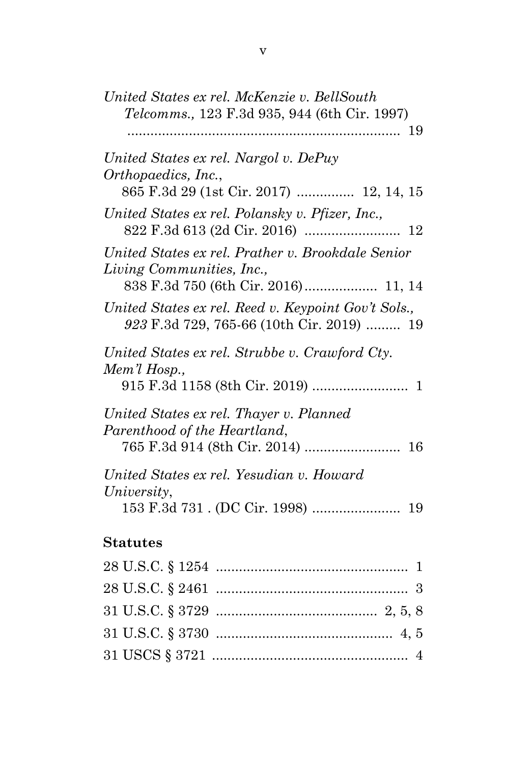| United States ex rel. McKenzie v. BellSouth                                                      |
|--------------------------------------------------------------------------------------------------|
| Telcomms., 123 F.3d 935, 944 (6th Cir. 1997)                                                     |
| United States ex rel. Nargol v. DePuy<br>Orthopaedics, Inc.,                                     |
| 865 F.3d 29 (1st Cir. 2017)  12, 14, 15                                                          |
| United States ex rel. Polansky v. Pfizer, Inc.,                                                  |
| United States ex rel. Prather v. Brookdale Senior<br>Living Communities, Inc.,                   |
| 838 F.3d 750 (6th Cir. 2016) 11, 14                                                              |
| United States ex rel. Reed v. Keypoint Gov't Sols.,<br>923 F.3d 729, 765-66 (10th Cir. 2019)  19 |
| United States ex rel. Strubbe v. Crawford Cty.                                                   |
| Mem'l Hosp.,                                                                                     |
| United States ex rel. Thayer v. Planned                                                          |
| Parenthood of the Heartland,                                                                     |
| United States ex rel. Yesudian v. Howard                                                         |
| University,<br>19                                                                                |
| <b>Statutes</b>                                                                                  |
|                                                                                                  |
|                                                                                                  |
|                                                                                                  |
|                                                                                                  |
| $\overline{4}$                                                                                   |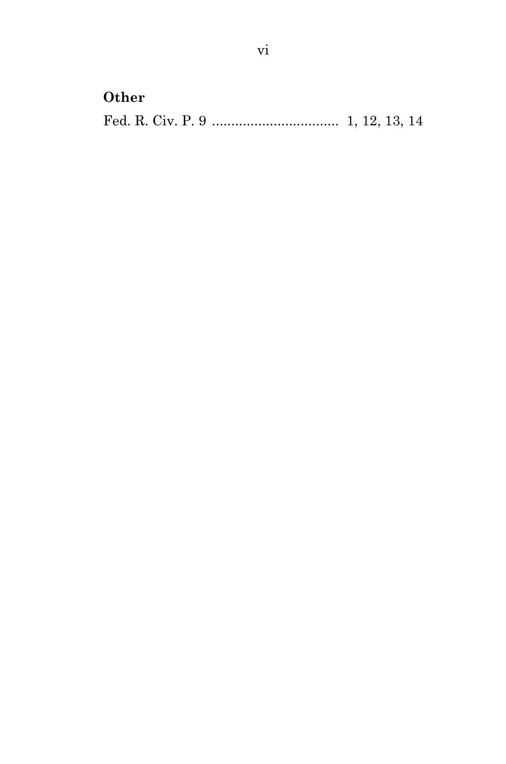## **Other**

Fed. R. Civ. P. 9 ................................. 1, 12, 13, 14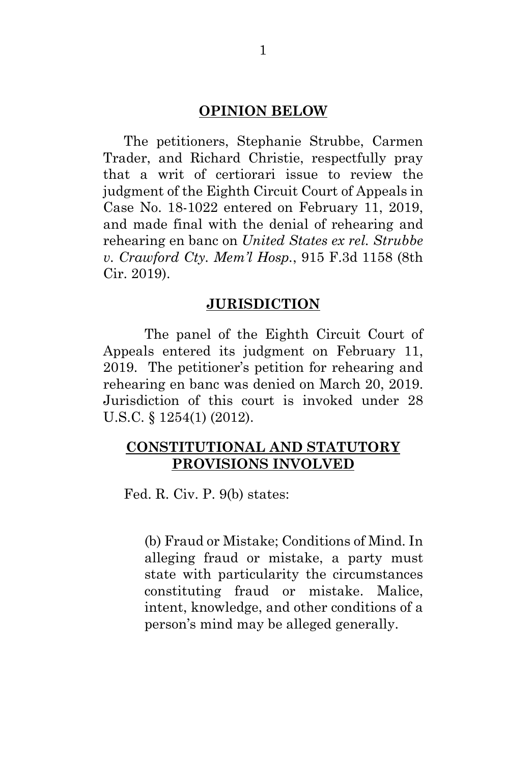#### **OPINION BELOW**

<span id="page-7-0"></span>The petitioners, Stephanie Strubbe, Carmen Trader, and Richard Christie, respectfully pray that a writ of certiorari issue to review the judgment of the Eighth Circuit Court of Appeals in Case No. 18-1022 entered on February 11, 2019, and made final with the denial of rehearing and rehearing en banc on *United States ex rel. Strubbe v. Crawford Cty. Mem'l Hosp.*, 915 F.3d 1158 (8th Cir. 2019).

#### <span id="page-7-4"></span><span id="page-7-3"></span>**JURISDICTION**

<span id="page-7-1"></span>The panel of the Eighth Circuit Court of Appeals entered its judgment on February 11, 2019. The petitioner's petition for rehearing and rehearing en banc was denied on March 20, 2019. Jurisdiction of this court is invoked under 28 U.S.C. § 1254(1) (2012).

### <span id="page-7-2"></span>**CONSTITUTIONAL AND STATUTORY PROVISIONS INVOLVED**

Fed. R. Civ. P. 9(b) states:

(b) Fraud or Mistake; Conditions of Mind. In alleging fraud or mistake, a party must state with particularity the circumstances constituting fraud or mistake. Malice, intent, knowledge, and other conditions of a person's mind may be alleged generally.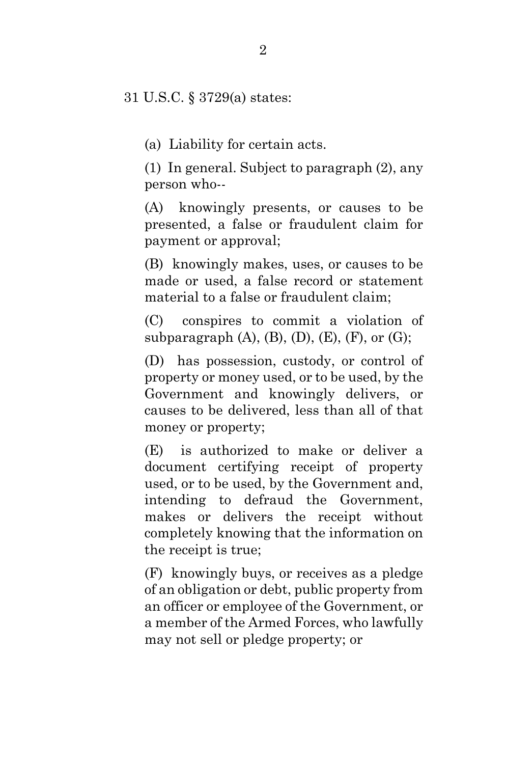31 U.S.C. § 3729(a) states:

(a) Liability for certain acts.

(1) In general. Subject to paragraph (2), any person who--

(A) knowingly presents, or causes to be presented, a false or fraudulent claim for payment or approval;

(B) knowingly makes, uses, or causes to be made or used, a false record or statement material to a false or fraudulent claim;

(C) conspires to commit a violation of subparagraph  $(A)$ ,  $(B)$ ,  $(D)$ ,  $(E)$ ,  $(F)$ , or  $(G)$ ;

(D) has possession, custody, or control of property or money used, or to be used, by the Government and knowingly delivers, or causes to be delivered, less than all of that money or property;

(E) is authorized to make or deliver a document certifying receipt of property used, or to be used, by the Government and, intending to defraud the Government, makes or delivers the receipt without completely knowing that the information on the receipt is true;

(F) knowingly buys, or receives as a pledge of an obligation or debt, public property from an officer or employee of the Government, or a member of the Armed Forces, who lawfully may not sell or pledge property; or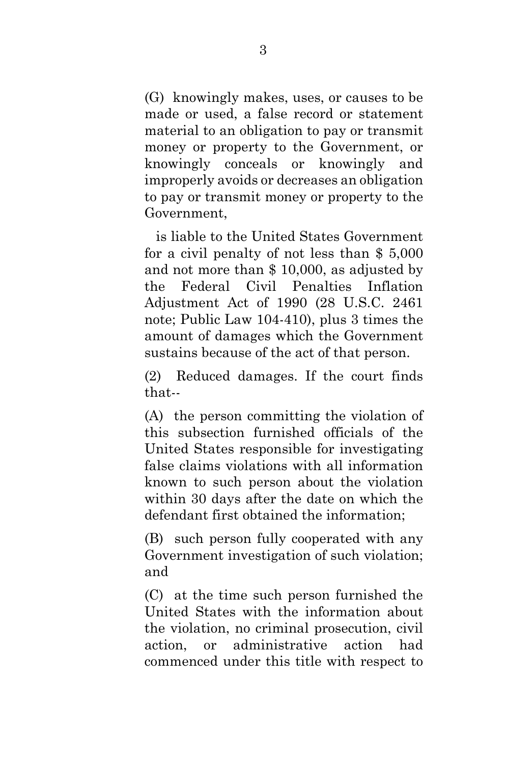(G) knowingly makes, uses, or causes to be made or used, a false record or statement material to an obligation to pay or transmit money or property to the Government, or knowingly conceals or knowingly and improperly avoids or decreases an obligation to pay or transmit money or property to the Government,

 is liable to the United States Government for a civil penalty of not less than \$ 5,000 and not more than \$ 10,000, as adjusted by the Federal Civil Penalties Inflation Adjustment Act of 1990 (28 U.S.C. 2461 note; Public Law 104-410), plus 3 times the amount of damages which the Government sustains because of the act of that person.

(2) Reduced damages. If the court finds that--

(A) the person committing the violation of this subsection furnished officials of the United States responsible for investigating false claims violations with all information known to such person about the violation within 30 days after the date on which the defendant first obtained the information;

(B) such person fully cooperated with any Government investigation of such violation; and

(C) at the time such person furnished the United States with the information about the violation, no criminal prosecution, civil action, or administrative action had commenced under this title with respect to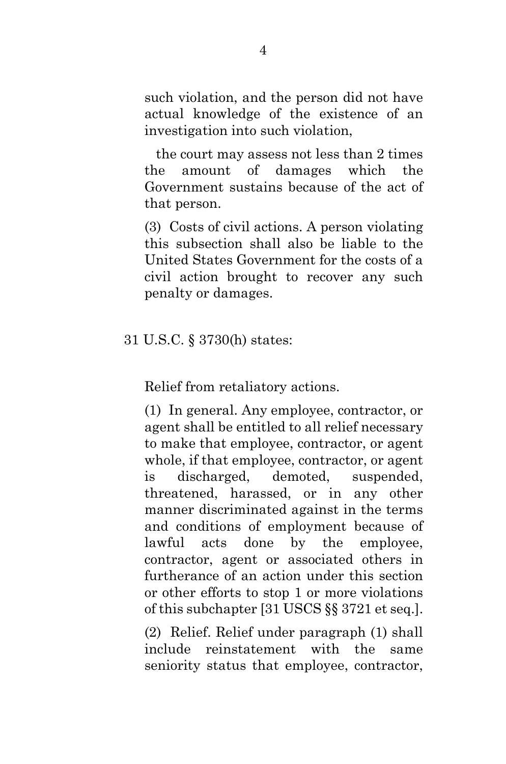such violation, and the person did not have actual knowledge of the existence of an investigation into such violation,

 the court may assess not less than 2 times the amount of damages which the Government sustains because of the act of that person.

(3) Costs of civil actions. A person violating this subsection shall also be liable to the United States Government for the costs of a civil action brought to recover any such penalty or damages.

### <span id="page-10-0"></span>31 U.S.C. § 3730(h) states:

Relief from retaliatory actions.

(1) In general. Any employee, contractor, or agent shall be entitled to all relief necessary to make that employee, contractor, or agent whole, if that employee, contractor, or agent is discharged, demoted, suspended, threatened, harassed, or in any other manner discriminated against in the terms and conditions of employment because of lawful acts done by the employee, contractor, agent or associated others in furtherance of an action under this section or other efforts to stop 1 or more violations of this subchapter [31 USCS §§ 3721 et seq.].

(2) Relief. Relief under paragraph (1) shall include reinstatement with the same seniority status that employee, contractor,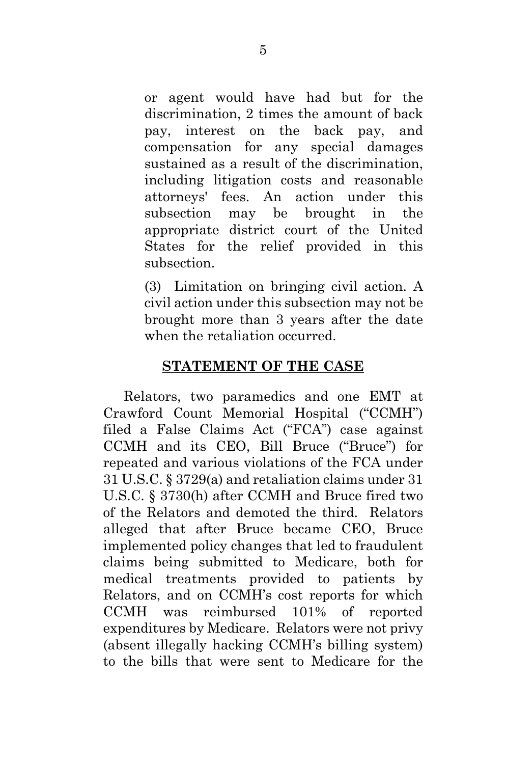or agent would have had but for the discrimination, 2 times the amount of back pay, interest on the back pay, and compensation for any special damages sustained as a result of the discrimination, including litigation costs and reasonable attorneys' fees. An action under this subsection may be brought in the appropriate district court of the United States for the relief provided in this subsection.

(3) Limitation on bringing civil action. A civil action under this subsection may not be brought more than 3 years after the date when the retaliation occurred.

### **STATEMENT OF THE CASE**

<span id="page-11-0"></span>Relators, two paramedics and one EMT at Crawford Count Memorial Hospital ("CCMH") filed a False Claims Act ("FCA") case against CCMH and its CEO, Bill Bruce ("Bruce") for repeated and various violations of the FCA under 31 U.S.C. § 3729(a) and retaliation claims under 31 U.S.C. § 3730(h) after CCMH and Bruce fired two of the Relators and demoted the third. Relators alleged that after Bruce became CEO, Bruce implemented policy changes that led to fraudulent claims being submitted to Medicare, both for medical treatments provided to patients by Relators, and on CCMH's cost reports for which CCMH was reimbursed 101% of reported expenditures by Medicare. Relators were not privy (absent illegally hacking CCMH's billing system) to the bills that were sent to Medicare for the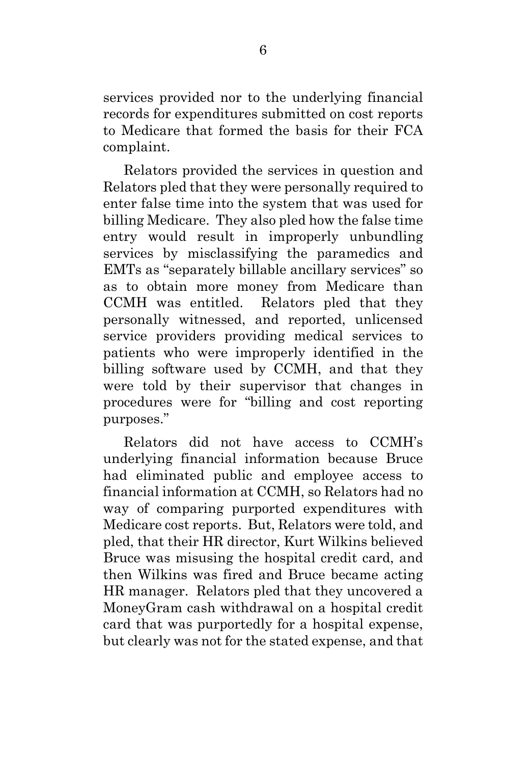services provided nor to the underlying financial records for expenditures submitted on cost reports to Medicare that formed the basis for their FCA complaint.

Relators provided the services in question and Relators pled that they were personally required to enter false time into the system that was used for billing Medicare. They also pled how the false time entry would result in improperly unbundling services by misclassifying the paramedics and EMTs as "separately billable ancillary services" so as to obtain more money from Medicare than CCMH was entitled. Relators pled that they personally witnessed, and reported, unlicensed service providers providing medical services to patients who were improperly identified in the billing software used by CCMH, and that they were told by their supervisor that changes in procedures were for "billing and cost reporting purposes."

Relators did not have access to CCMH's underlying financial information because Bruce had eliminated public and employee access to financial information at CCMH, so Relators had no way of comparing purported expenditures with Medicare cost reports. But, Relators were told, and pled, that their HR director, Kurt Wilkins believed Bruce was misusing the hospital credit card, and then Wilkins was fired and Bruce became acting HR manager. Relators pled that they uncovered a MoneyGram cash withdrawal on a hospital credit card that was purportedly for a hospital expense, but clearly was not for the stated expense, and that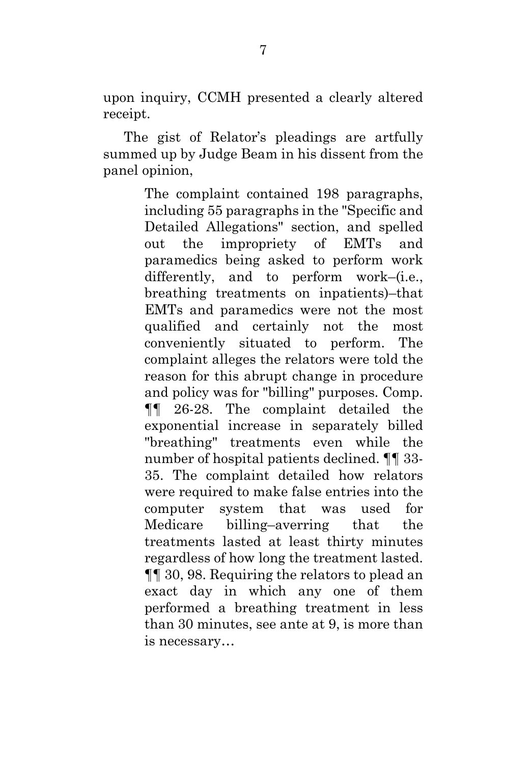upon inquiry, CCMH presented a clearly altered receipt.

The gist of Relator's pleadings are artfully summed up by Judge Beam in his dissent from the panel opinion,

> The complaint contained 198 paragraphs, including 55 paragraphs in the "Specific and Detailed Allegations" section, and spelled out the impropriety of EMTs and paramedics being asked to perform work differently, and to perform work–(i.e., breathing treatments on inpatients)–that EMTs and paramedics were not the most qualified and certainly not the most conveniently situated to perform. The complaint alleges the relators were told the reason for this abrupt change in procedure and policy was for "billing" purposes. Comp. ¶¶ 26-28. The complaint detailed the exponential increase in separately billed "breathing" treatments even while the number of hospital patients declined. ¶¶ 33- 35. The complaint detailed how relators were required to make false entries into the computer system that was used for Medicare billing–averring that the treatments lasted at least thirty minutes regardless of how long the treatment lasted. ¶¶ 30, 98. Requiring the relators to plead an exact day in which any one of them performed a breathing treatment in less than 30 minutes, see ante at 9, is more than is necessary…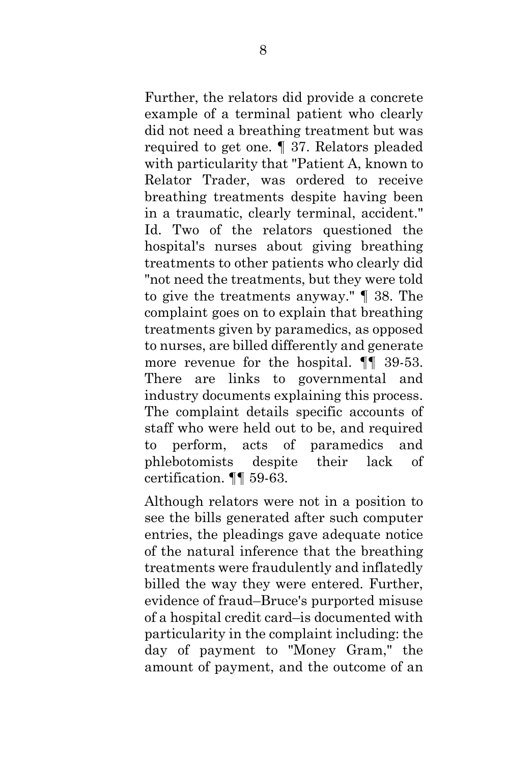Further, the relators did provide a concrete example of a terminal patient who clearly did not need a breathing treatment but was required to get one. ¶ 37. Relators pleaded with particularity that "Patient A, known to Relator Trader, was ordered to receive breathing treatments despite having been in a traumatic, clearly terminal, accident." Id. Two of the relators questioned the hospital's nurses about giving breathing treatments to other patients who clearly did "not need the treatments, but they were told to give the treatments anyway." ¶ 38. The complaint goes on to explain that breathing treatments given by paramedics, as opposed to nurses, are billed differently and generate more revenue for the hospital. ¶¶ 39-53. There are links to governmental and industry documents explaining this process. The complaint details specific accounts of staff who were held out to be, and required to perform, acts of paramedics and phlebotomists despite their lack of certification. ¶¶ 59-63.

Although relators were not in a position to see the bills generated after such computer entries, the pleadings gave adequate notice of the natural inference that the breathing treatments were fraudulently and inflatedly billed the way they were entered. Further, evidence of fraud–Bruce's purported misuse of a hospital credit card–is documented with particularity in the complaint including: the day of payment to "Money Gram," the amount of payment, and the outcome of an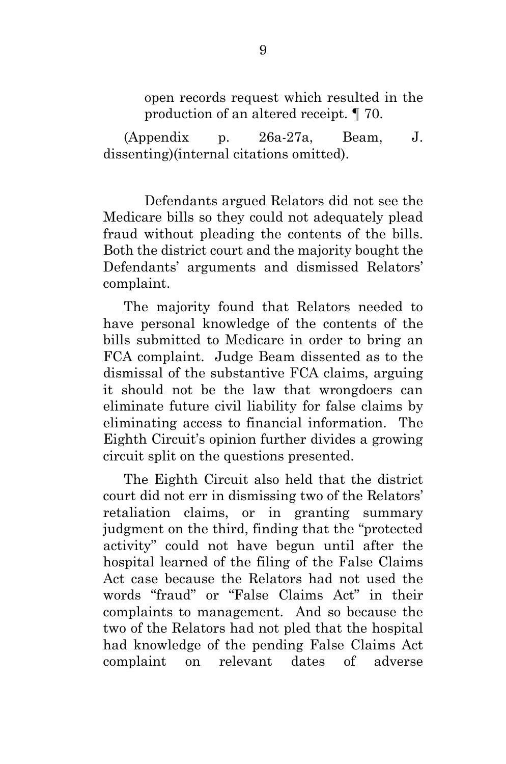open records request which resulted in the production of an altered receipt. ¶ 70.

(Appendix p. 26a-27a, Beam, J. dissenting)(internal citations omitted).

Defendants argued Relators did not see the Medicare bills so they could not adequately plead fraud without pleading the contents of the bills. Both the district court and the majority bought the Defendants' arguments and dismissed Relators' complaint.

The majority found that Relators needed to have personal knowledge of the contents of the bills submitted to Medicare in order to bring an FCA complaint. Judge Beam dissented as to the dismissal of the substantive FCA claims, arguing it should not be the law that wrongdoers can eliminate future civil liability for false claims by eliminating access to financial information. The Eighth Circuit's opinion further divides a growing circuit split on the questions presented.

The Eighth Circuit also held that the district court did not err in dismissing two of the Relators' retaliation claims, or in granting summary judgment on the third, finding that the "protected activity" could not have begun until after the hospital learned of the filing of the False Claims Act case because the Relators had not used the words "fraud" or "False Claims Act" in their complaints to management. And so because the two of the Relators had not pled that the hospital had knowledge of the pending False Claims Act complaint on relevant dates of adverse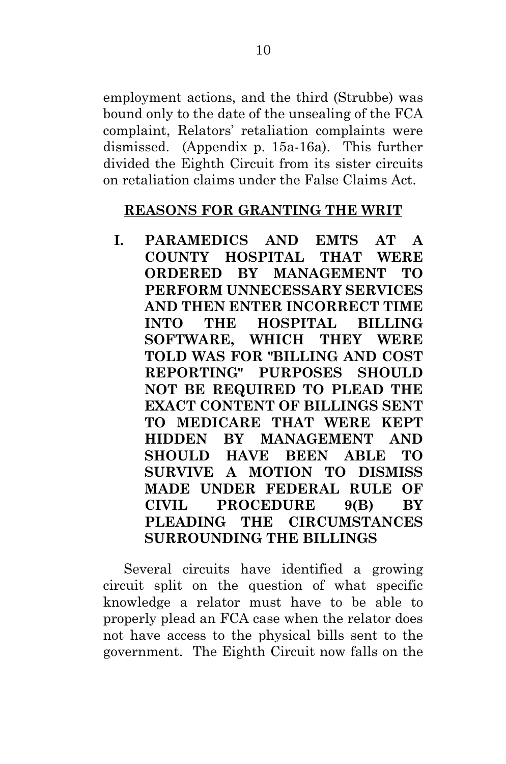employment actions, and the third (Strubbe) was bound only to the date of the unsealing of the FCA complaint, Relators' retaliation complaints were dismissed. (Appendix p. 15a-16a). This further divided the Eighth Circuit from its sister circuits on retaliation claims under the False Claims Act.

### <span id="page-16-0"></span>**REASONS FOR GRANTING THE WRIT**

<span id="page-16-1"></span>**I. PARAMEDICS AND EMTS AT A COUNTY HOSPITAL THAT WERE ORDERED BY MANAGEMENT TO PERFORM UNNECESSARY SERVICES AND THEN ENTER INCORRECT TIME INTO THE HOSPITAL BILLING SOFTWARE, WHICH THEY WERE TOLD WAS FOR "BILLING AND COST REPORTING" PURPOSES SHOULD NOT BE REQUIRED TO PLEAD THE EXACT CONTENT OF BILLINGS SENT TO MEDICARE THAT WERE KEPT HIDDEN BY MANAGEMENT AND SHOULD HAVE BEEN ABLE TO SURVIVE A MOTION TO DISMISS MADE UNDER FEDERAL RULE OF CIVIL PROCEDURE 9(B) BY PLEADING THE CIRCUMSTANCES SURROUNDING THE BILLINGS**

Several circuits have identified a growing circuit split on the question of what specific knowledge a relator must have to be able to properly plead an FCA case when the relator does not have access to the physical bills sent to the government. The Eighth Circuit now falls on the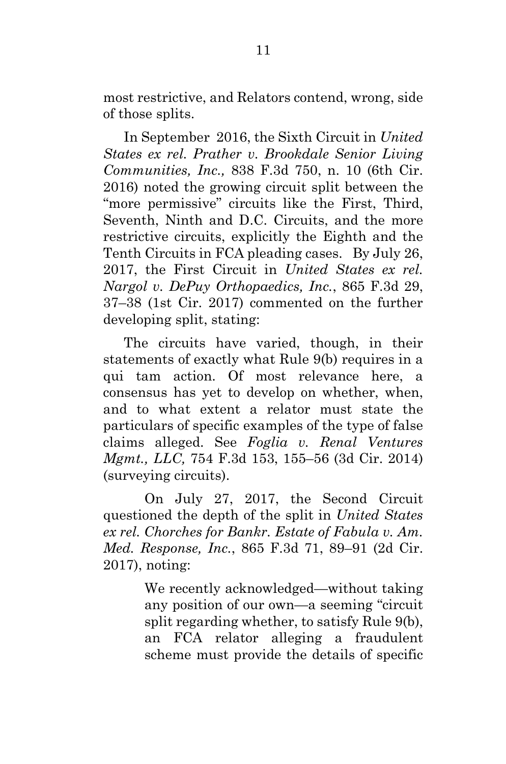most restrictive, and Relators contend, wrong, side of those splits.

In September 2016, the Sixth Circuit in *United States ex rel. Prather v. Brookdale Senior Living Communities, Inc.,* 838 F.3d 750, n. 10 (6th Cir. 2016) noted the growing circuit split between the "more permissive" circuits like the First, Third, Seventh, Ninth and D.C. Circuits, and the more restrictive circuits, explicitly the Eighth and the Tenth Circuits in FCA pleading cases. By July 26, 2017, the First Circuit in *United States ex rel. Nargol v. DePuy Orthopaedics, Inc.*, 865 F.3d 29, 37–38 (1st Cir. 2017) commented on the further developing split, stating:

The circuits have varied, though, in their statements of exactly what Rule 9(b) requires in a qui tam action. Of most relevance here, a consensus has yet to develop on whether, when, and to what extent a relator must state the particulars of specific examples of the type of false claims alleged. See *Foglia v. Renal Ventures Mgmt., LLC,* 754 F.3d 153, 155–56 (3d Cir. 2014) (surveying circuits).

On July 27, 2017, the Second Circuit questioned the depth of the split in *United States ex rel. Chorches for Bankr. Estate of Fabula v. Am. Med. Response, Inc.*, 865 F.3d 71, 89–91 (2d Cir. 2017), noting:

> We recently acknowledged—without taking any position of our own—a seeming "circuit split regarding whether, to satisfy Rule 9(b), an FCA relator alleging a fraudulent scheme must provide the details of specific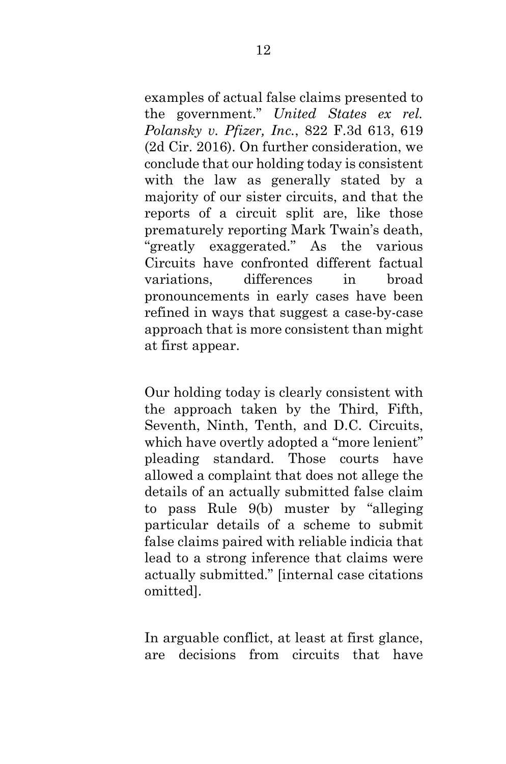examples of actual false claims presented to the government." *United States ex rel. Polansky v. Pfizer, Inc.*, 822 F.3d 613, 619 (2d Cir. 2016). On further consideration, we conclude that our holding today is consistent with the law as generally stated by a majority of our sister circuits, and that the reports of a circuit split are, like those prematurely reporting Mark Twain's death, "greatly exaggerated." As the various Circuits have confronted different factual variations, differences in broad pronouncements in early cases have been refined in ways that suggest a case-by-case approach that is more consistent than might at first appear.

Our holding today is clearly consistent with the approach taken by the Third, Fifth, Seventh, Ninth, Tenth, and D.C. Circuits, which have overtly adopted a "more lenient" pleading standard. Those courts have allowed a complaint that does not allege the details of an actually submitted false claim to pass Rule 9(b) muster by "alleging particular details of a scheme to submit false claims paired with reliable indicia that lead to a strong inference that claims were actually submitted." [internal case citations omitted].

In arguable conflict, at least at first glance, are decisions from circuits that have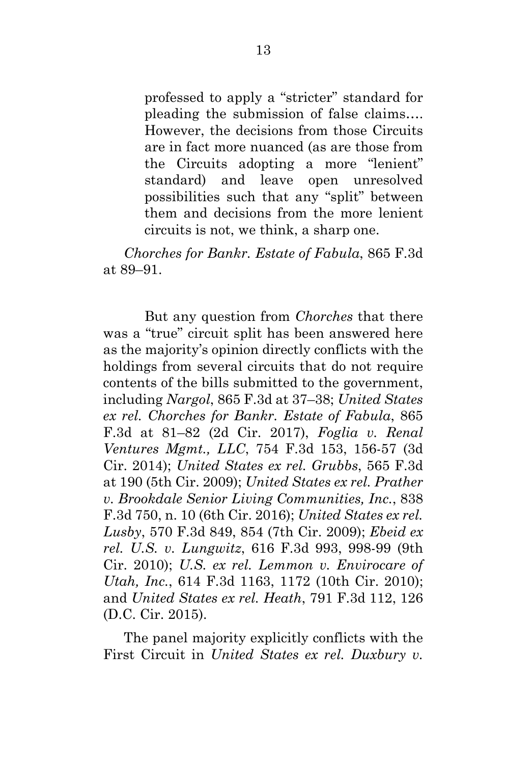professed to apply a "stricter" standard for pleading the submission of false claims…. However, the decisions from those Circuits are in fact more nuanced (as are those from the Circuits adopting a more "lenient" standard) and leave open unresolved possibilities such that any "split" between them and decisions from the more lenient circuits is not, we think, a sharp one.

*Chorches for Bankr. Estate of Fabula*, 865 F.3d at 89–91.

But any question from *Chorches* that there was a "true" circuit split has been answered here as the majority's opinion directly conflicts with the holdings from several circuits that do not require contents of the bills submitted to the government, including *Nargol*, 865 F.3d at 37–38; *United States ex rel. Chorches for Bankr. Estate of Fabula*, 865 F.3d at 81–82 (2d Cir. 2017), *Foglia v. Renal Ventures Mgmt., LLC*, 754 F.3d 153, 156-57 (3d Cir. 2014); *United States ex rel. Grubbs*, 565 F.3d at 190 (5th Cir. 2009); *United States ex rel. Prather v. Brookdale Senior Living Communities, Inc.*, 838 F.3d 750, n. 10 (6th Cir. 2016); *United States ex rel. Lusby*, 570 F.3d 849, 854 (7th Cir. 2009); *Ebeid ex rel. U.S. v. Lungwitz*, 616 F.3d 993, 998-99 (9th Cir. 2010); *U.S. ex rel. Lemmon v. Envirocare of Utah, Inc.*, 614 F.3d 1163, 1172 (10th Cir. 2010); and *United States ex rel. Heath*, 791 F.3d 112, 126 (D.C. Cir. 2015).

The panel majority explicitly conflicts with the First Circuit in *United States ex rel. Duxbury v.*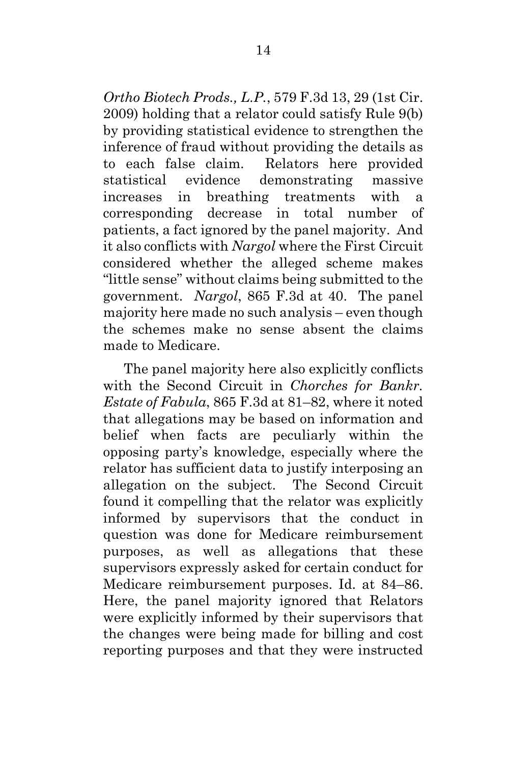*Ortho Biotech Prods., L.P.*, 579 F.3d 13, 29 (1st Cir. 2009) holding that a relator could satisfy Rule 9(b) by providing statistical evidence to strengthen the inference of fraud without providing the details as to each false claim. Relators here provided statistical evidence demonstrating massive increases in breathing treatments with a corresponding decrease in total number of patients, a fact ignored by the panel majority. And it also conflicts with *Nargol* where the First Circuit considered whether the alleged scheme makes "little sense" without claims being submitted to the government. *Nargol*, 865 F.3d at 40. The panel majority here made no such analysis – even though the schemes make no sense absent the claims made to Medicare.

The panel majority here also explicitly conflicts with the Second Circuit in *Chorches for Bankr. Estate of Fabula*, 865 F.3d at 81–82, where it noted that allegations may be based on information and belief when facts are peculiarly within the opposing party's knowledge, especially where the relator has sufficient data to justify interposing an allegation on the subject. The Second Circuit found it compelling that the relator was explicitly informed by supervisors that the conduct in question was done for Medicare reimbursement purposes, as well as allegations that these supervisors expressly asked for certain conduct for Medicare reimbursement purposes. Id. at 84–86. Here, the panel majority ignored that Relators were explicitly informed by their supervisors that the changes were being made for billing and cost reporting purposes and that they were instructed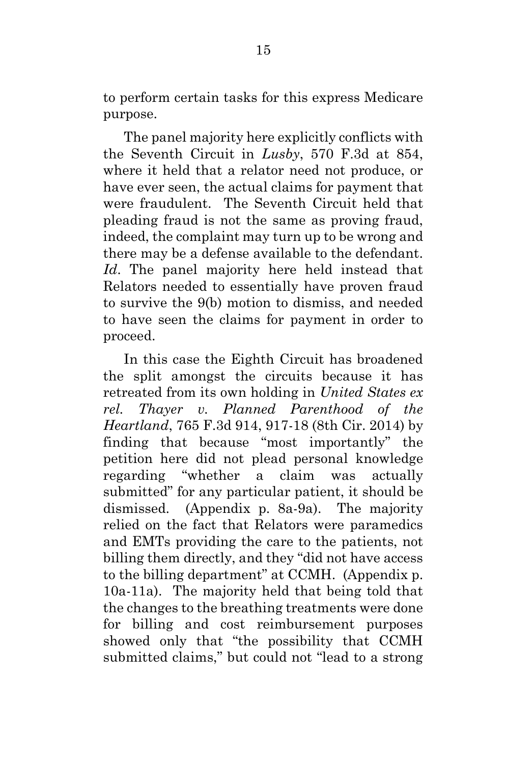to perform certain tasks for this express Medicare purpose.

The panel majority here explicitly conflicts with the Seventh Circuit in *Lusby*, 570 F.3d at 854, where it held that a relator need not produce, or have ever seen, the actual claims for payment that were fraudulent. The Seventh Circuit held that pleading fraud is not the same as proving fraud, indeed, the complaint may turn up to be wrong and there may be a defense available to the defendant. *Id*. The panel majority here held instead that Relators needed to essentially have proven fraud to survive the 9(b) motion to dismiss, and needed to have seen the claims for payment in order to proceed.

In this case the Eighth Circuit has broadened the split amongst the circuits because it has retreated from its own holding in *United States ex rel. Thayer v. Planned Parenthood of the Heartland*, 765 F.3d 914, 917-18 (8th Cir. 2014) by finding that because "most importantly" the petition here did not plead personal knowledge regarding "whether a claim was actually submitted" for any particular patient, it should be dismissed. (Appendix p. 8a-9a). The majority relied on the fact that Relators were paramedics and EMTs providing the care to the patients, not billing them directly, and they "did not have access to the billing department" at CCMH. (Appendix p. 10a-11a). The majority held that being told that the changes to the breathing treatments were done for billing and cost reimbursement purposes showed only that "the possibility that CCMH submitted claims," but could not "lead to a strong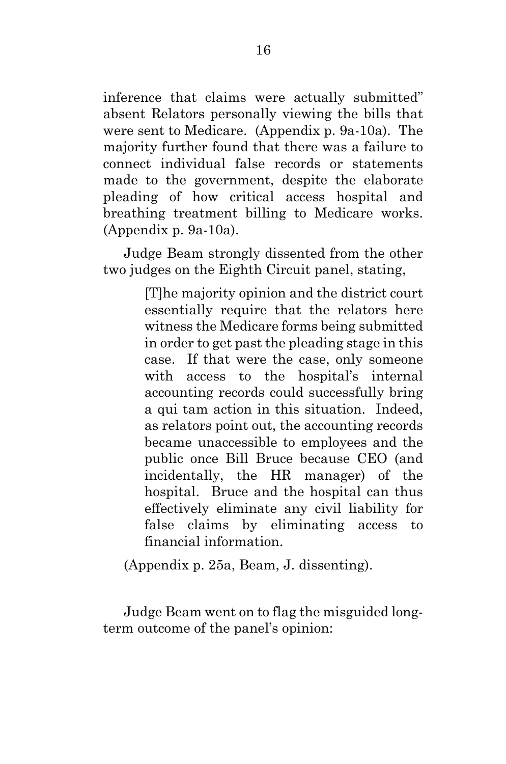inference that claims were actually submitted" absent Relators personally viewing the bills that were sent to Medicare. (Appendix p. 9a-10a). The majority further found that there was a failure to connect individual false records or statements made to the government, despite the elaborate pleading of how critical access hospital and breathing treatment billing to Medicare works. (Appendix p. 9a-10a).

Judge Beam strongly dissented from the other two judges on the Eighth Circuit panel, stating,

> [T]he majority opinion and the district court essentially require that the relators here witness the Medicare forms being submitted in order to get past the pleading stage in this case. If that were the case, only someone with access to the hospital's internal accounting records could successfully bring a qui tam action in this situation. Indeed, as relators point out, the accounting records became unaccessible to employees and the public once Bill Bruce because CEO (and incidentally, the HR manager) of the hospital. Bruce and the hospital can thus effectively eliminate any civil liability for false claims by eliminating access to financial information.

(Appendix p. 25a, Beam, J. dissenting).

Judge Beam went on to flag the misguided longterm outcome of the panel's opinion: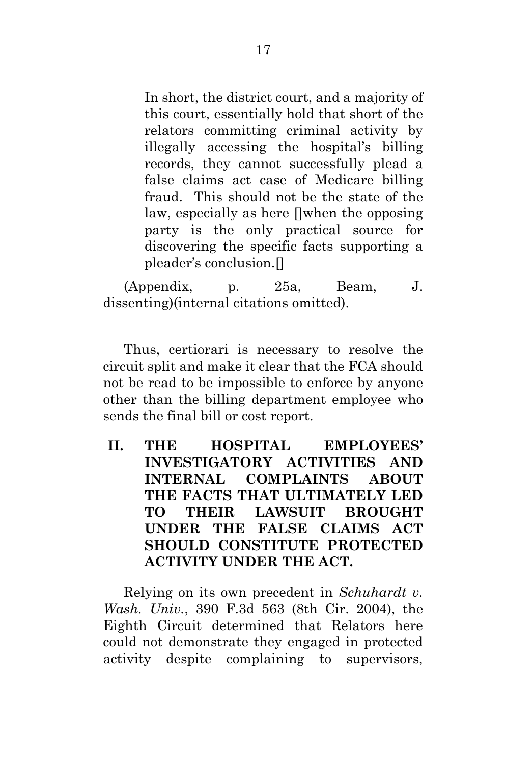In short, the district court, and a majority of this court, essentially hold that short of the relators committing criminal activity by illegally accessing the hospital's billing records, they cannot successfully plead a false claims act case of Medicare billing fraud. This should not be the state of the law, especially as here []when the opposing party is the only practical source for discovering the specific facts supporting a pleader's conclusion.[]

(Appendix, p. 25a, Beam, J. dissenting)(internal citations omitted).

Thus, certiorari is necessary to resolve the circuit split and make it clear that the FCA should not be read to be impossible to enforce by anyone other than the billing department employee who sends the final bill or cost report.

<span id="page-23-0"></span>**II. THE HOSPITAL EMPLOYEES' INVESTIGATORY ACTIVITIES AND INTERNAL COMPLAINTS ABOUT THE FACTS THAT ULTIMATELY LED TO THEIR LAWSUIT BROUGHT UNDER THE FALSE CLAIMS ACT SHOULD CONSTITUTE PROTECTED ACTIVITY UNDER THE ACT.**

Relying on its own precedent in *Schuhardt v. Wash. Univ.*, 390 F.3d 563 (8th Cir. 2004), the Eighth Circuit determined that Relators here could not demonstrate they engaged in protected activity despite complaining to supervisors,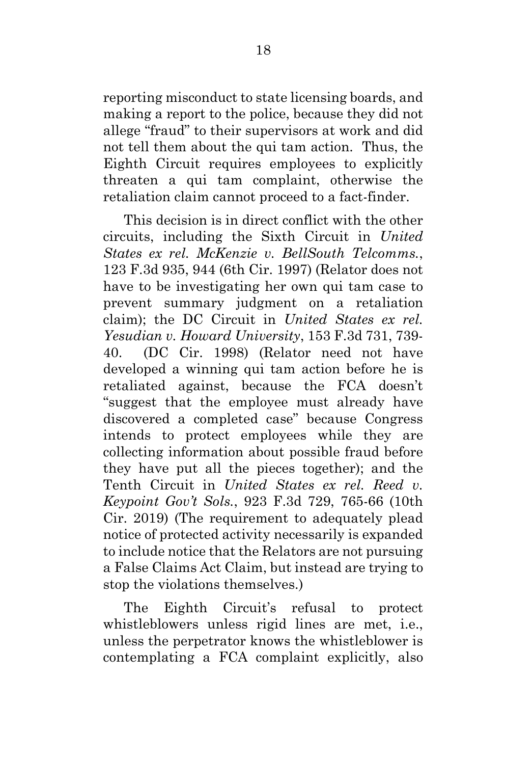reporting misconduct to state licensing boards, and making a report to the police, because they did not allege "fraud" to their supervisors at work and did not tell them about the qui tam action. Thus, the Eighth Circuit requires employees to explicitly threaten a qui tam complaint, otherwise the retaliation claim cannot proceed to a fact-finder.

This decision is in direct conflict with the other circuits, including the Sixth Circuit in *United States ex rel. McKenzie v. BellSouth Telcomms.*, 123 F.3d 935, 944 (6th Cir. 1997) (Relator does not have to be investigating her own qui tam case to prevent summary judgment on a retaliation claim); the DC Circuit in *United States ex rel. Yesudian v. Howard University*, 153 F.3d 731, 739- 40. (DC Cir. 1998) (Relator need not have developed a winning qui tam action before he is retaliated against, because the FCA doesn't "suggest that the employee must already have discovered a completed case" because Congress intends to protect employees while they are collecting information about possible fraud before they have put all the pieces together); and the Tenth Circuit in *United States ex rel. Reed v. Keypoint Gov't Sols.*, 923 F.3d 729, 765-66 (10th Cir. 2019) (The requirement to adequately plead notice of protected activity necessarily is expanded to include notice that the Relators are not pursuing a False Claims Act Claim, but instead are trying to stop the violations themselves.)

The Eighth Circuit's refusal to protect whistleblowers unless rigid lines are met, i.e., unless the perpetrator knows the whistleblower is contemplating a FCA complaint explicitly, also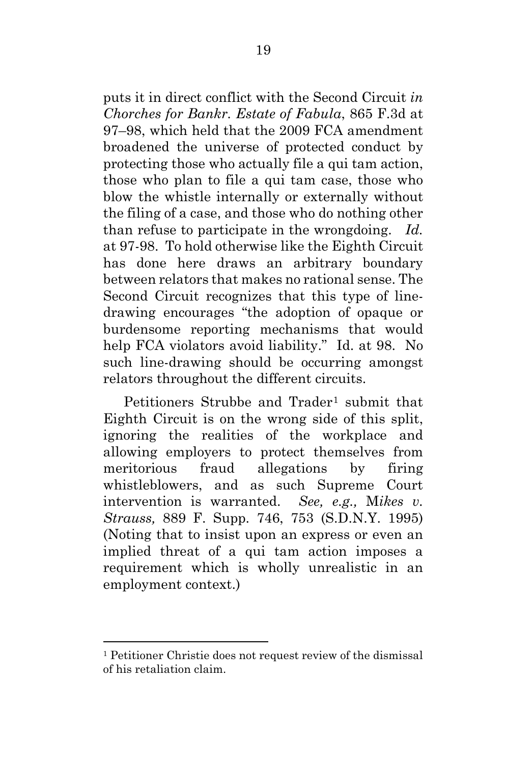puts it in direct conflict with the Second Circuit *in Chorches for Bankr. Estate of Fabula*, 865 F.3d at 97–98, which held that the 2009 FCA amendment broadened the universe of protected conduct by protecting those who actually file a qui tam action, those who plan to file a qui tam case, those who blow the whistle internally or externally without the filing of a case, and those who do nothing other than refuse to participate in the wrongdoing. *Id.* at 97-98. To hold otherwise like the Eighth Circuit has done here draws an arbitrary boundary between relators that makes no rational sense. The Second Circuit recognizes that this type of linedrawing encourages "the adoption of opaque or burdensome reporting mechanisms that would help FCA violators avoid liability." Id. at 98. No such line-drawing should be occurring amongst relators throughout the different circuits.

Petitioners Strubbe and Trader<sup>[1](#page-25-0)</sup> submit that Eighth Circuit is on the wrong side of this split, ignoring the realities of the workplace and allowing employers to protect themselves from meritorious fraud allegations by firing whistleblowers, and as such Supreme Court intervention is warranted. *See, e.g.,* M*ikes v. Strauss,* 889 F. Supp. 746, 753 (S.D.N.Y. 1995) (Noting that to insist upon an express or even an implied threat of a qui tam action imposes a requirement which is wholly unrealistic in an employment context.)

<span id="page-25-0"></span><sup>1</sup> Petitioner Christie does not request review of the dismissal of his retaliation claim.